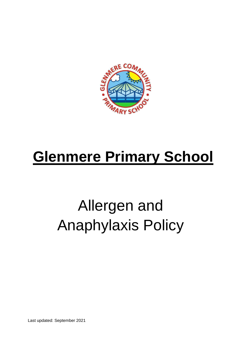

## **Glenmere Primary School**

# Allergen and Anaphylaxis Policy

Last updated: September 2021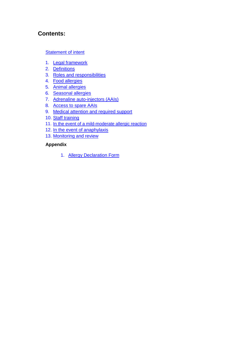## **Contents:**

#### **[Statement of intent](#page-2-0)**

- 1. [Legal framework](#page-3-0)
- 2. [Definitions](#page-3-0)
- 3. [Roles and responsibilities](#page-4-0)
- 4. [Food allergies](#page-6-0)
- 5. [Animal allergies](#page-7-0)
- 6. [Seasonal allergies](#page-7-0)
- 7. [Adrenaline auto-injectors \(AAIs\)](#page-8-0)
- 8. [Access to spare AAIs](#page-9-0)
- 9. [Medical attention and required support](#page-10-0)
- 10. [Staff training](#page-11-0)
- 11. [In the event of a mild-moderate allergic reaction](#page-12-0)
- 12. [In the event of anaphylaxis](#page-13-0)
- 13. [Monitoring and review](#page-14-0)

#### **Appendix**

1. [Allergy Declaration Form](#page-15-0)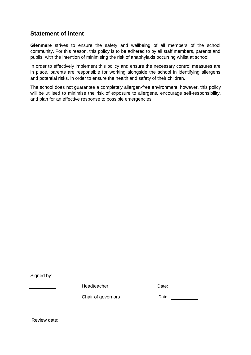## <span id="page-2-0"></span>**Statement of intent**

**Glenmere** strives to ensure the safety and wellbeing of all members of the school community. For this reason, this policy is to be adhered to by all staff members, parents and pupils, with the intention of minimising the risk of anaphylaxis occurring whilst at school.

In order to effectively implement this policy and ensure the necessary control measures are in place, parents are responsible for working alongside the school in identifying allergens and potential risks, in order to ensure the health and safety of their children.

The school does not guarantee a completely allergen-free environment; however, this policy will be utilised to minimise the risk of exposure to allergens, encourage self-responsibility, and plan for an effective response to possible emergencies.

Signed by:

Headteacher Date:

Chair of governors

| Date: |
|-------|
|       |

Review date: \_\_\_\_\_\_\_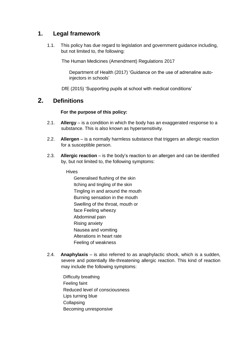## <span id="page-3-0"></span>**1. Legal framework**

1.1. This policy has due regard to legislation and government guidance including, but not limited to, the following:

The Human Medicines (Amendment) Regulations 2017

Department of Health (2017) 'Guidance on the use of adrenaline autoinjectors in schools'

DfE (2015) 'Supporting pupils at school with medical conditions'

## **2. Definitions**

#### **For the purpose of this policy:**

- 2.1. **Allergy** is a condition in which the body has an exaggerated response to a substance. This is also known as hypersensitivity.
- 2.2. **Allergen** is a normally harmless substance that triggers an allergic reaction for a susceptible person.
- 2.3. **Allergic reaction** is the body's reaction to an allergen and can be identified by, but not limited to, the following symptoms:

#### **Hives**

Generalised flushing of the skin Itching and tingling of the skin Tingling in and around the mouth Burning sensation in the mouth Swelling of the throat, mouth or face Feeling wheezy Abdominal pain Rising anxiety Nausea and vomiting Alterations in heart rate Feeling of weakness

- 2.4. **Anaphylaxis** is also referred to as anaphylactic shock, which is a sudden, severe and potentially life-threatening allergic reaction. This kind of reaction may include the following symptoms:
	- Difficulty breathing Feeling faint Reduced level of consciousness Lips turning blue **Collapsing** Becoming unresponsive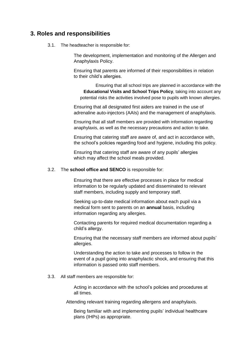## <span id="page-4-0"></span>**3. Roles and responsibilities**

3.1. The headteacher is responsible for:

The development, implementation and monitoring of the Allergen and Anaphylaxis Policy.

Ensuring that parents are informed of their responsibilities in relation to their child's allergies.

Ensuring that all school trips are planned in accordance with the **Educational Visits and School Trips Policy**, taking into account any potential risks the activities involved pose to pupils with known allergies.

Ensuring that all designated first aiders are trained in the use of adrenaline auto-injectors (AAIs) and the management of anaphylaxis.

Ensuring that all staff members are provided with information regarding anaphylaxis, as well as the necessary precautions and action to take.

Ensuring that catering staff are aware of, and act in accordance with, the school's policies regarding food and hygiene, including this policy.

Ensuring that catering staff are aware of any pupils' allergies which may affect the school meals provided.

#### 3.2. The **school office and SENCO** is responsible for:

Ensuring that there are effective processes in place for medical information to be regularly updated and disseminated to relevant staff members, including supply and temporary staff.

Seeking up-to-date medical information about each pupil via a medical form sent to parents on an **annual** basis, including information regarding any allergies.

Contacting parents for required medical documentation regarding a child's allergy.

Ensuring that the necessary staff members are informed about pupils' allergies.

Understanding the action to take and processes to follow in the event of a pupil going into anaphylactic shock, and ensuring that this information is passed onto staff members.

#### 3.3. All staff members are responsible for:

Acting in accordance with the school's policies and procedures at all times.

Attending relevant training regarding allergens and anaphylaxis.

Being familiar with and implementing pupils' individual healthcare plans (IHPs) as appropriate.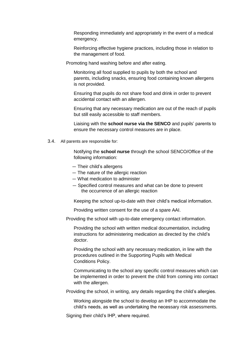Responding immediately and appropriately in the event of a medical emergency.

Reinforcing effective hygiene practices, including those in relation to the management of food.

Promoting hand washing before and after eating.

Monitoring all food supplied to pupils by both the school and parents, including snacks, ensuring food containing known allergens is not provided.

Ensuring that pupils do not share food and drink in order to prevent accidental contact with an allergen.

Ensuring that any necessary medication are out of the reach of pupils but still easily accessible to staff members.

Liaising with the **school nurse via the SENCO** and pupils' parents to ensure the necessary control measures are in place.

3.4. All parents are responsible for:

Notifying the **school nurse** through the school SENCO/Office of the following information:

- Their child's allergens
- The nature of the allergic reaction
- What medication to administer
- Specified control measures and what can be done to prevent the occurrence of an allergic reaction

Keeping the school up-to-date with their child's medical information.

Providing written consent for the use of a spare AAI.

Providing the school with up-to-date emergency contact information.

Providing the school with written medical documentation, including instructions for administering medication as directed by the child's doctor.

Providing the school with any necessary medication, in line with the procedures outlined in the Supporting Pupils with Medical Conditions Policy.

Communicating to the school any specific control measures which can be implemented in order to prevent the child from coming into contact with the allergen.

Providing the school, in writing, any details regarding the child's allergies.

Working alongside the school to develop an IHP to accommodate the child's needs, as well as undertaking the necessary risk assessments.

Signing their child's IHP, where required.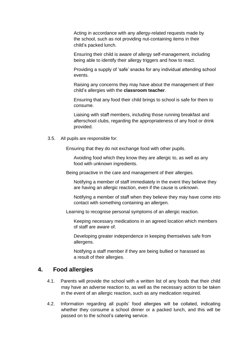<span id="page-6-0"></span>Acting in accordance with any allergy-related requests made by the school, such as not providing nut-containing items in their child's packed lunch.

Ensuring their child is aware of allergy self-management, including being able to identify their allergy triggers and how to react.

Providing a supply of 'safe' snacks for any individual attending school events.

Raising any concerns they may have about the management of their child's allergies with the **classroom teacher**.

Ensuring that any food their child brings to school is safe for them to consume.

Liaising with staff members, including those running breakfast and afterschool clubs, regarding the appropriateness of any food or drink provided.

3.5. All pupils are responsible for:

Ensuring that they do not exchange food with other pupils.

Avoiding food which they know they are allergic to, as well as any food with unknown ingredients.

Being proactive in the care and management of their allergies.

Notifying a member of staff immediately in the event they believe they are having an allergic reaction, even if the cause is unknown.

Notifying a member of staff when they believe they may have come into contact with something containing an allergen.

Learning to recognise personal symptoms of an allergic reaction.

Keeping necessary medications in an agreed location which members of staff are aware of.

Developing greater independence in keeping themselves safe from allergens.

Notifying a staff member if they are being bullied or harassed as a result of their allergies.

#### **4. Food allergies**

- 4.1. Parents will provide the school with a written list of any foods that their child may have an adverse reaction to, as well as the necessary action to be taken in the event of an allergic reaction, such as any medication required.
- 4.2. Information regarding all pupils' food allergies will be collated, indicating whether they consume a school dinner or a packed lunch, and this will be passed on to the school's catering service.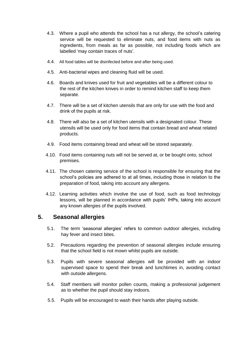- <span id="page-7-0"></span>4.3. Where a pupil who attends the school has a nut allergy, the school's catering service will be requested to eliminate nuts, and food items with nuts as ingredients, from meals as far as possible, not including foods which are labelled 'may contain traces of nuts'.
- 4.4. All food tables will be disinfected before and after being used.
- 4.5. Anti-bacterial wipes and cleaning fluid will be used.
- 4.6. Boards and knives used for fruit and vegetables will be a different colour to the rest of the kitchen knives in order to remind kitchen staff to keep them separate.
- 4.7. There will be a set of kitchen utensils that are only for use with the food and drink of the pupils at risk.
- 4.8. There will also be a set of kitchen utensils with a designated colour. These utensils will be used only for food items that contain bread and wheat related products.
- 4.9. Food items containing bread and wheat will be stored separately.
- 4.10. Food items containing nuts will not be served at, or be bought onto, school premises.
- 4.11. The chosen catering service of the school is responsible for ensuring that the school's policies are adhered to at all times, including those in relation to the preparation of food, taking into account any allergens.
- 4.12. Learning activities which involve the use of food, such as food technology lessons, will be planned in accordance with pupils' IHPs, taking into account any known allergies of the pupils involved.

#### **5. Seasonal allergies**

- 5.1. The term 'seasonal allergies' refers to common outdoor allergies, including hay fever and insect bites.
- 5.2. Precautions regarding the prevention of seasonal allergies include ensuring that the school field is not mown whilst pupils are outside.
- 5.3. Pupils with severe seasonal allergies will be provided with an indoor supervised space to spend their break and lunchtimes in, avoiding contact with outside allergens.
- 5.4. Staff members will monitor pollen counts, making a professional judgement as to whether the pupil should stay indoors.
- 5.5. Pupils will be encouraged to wash their hands after playing outside.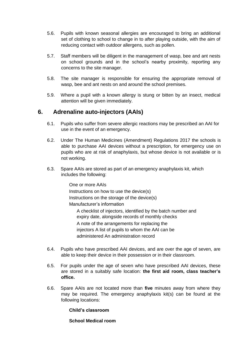- <span id="page-8-0"></span>5.6. Pupils with known seasonal allergies are encouraged to bring an additional set of clothing to school to change in to after playing outside, with the aim of reducing contact with outdoor allergens, such as pollen.
- 5.7. Staff members will be diligent in the management of wasp, bee and ant nests on school grounds and in the school's nearby proximity, reporting any concerns to the site manager.
- 5.8. The site manager is responsible for ensuring the appropriate removal of wasp, bee and ant nests on and around the school premises.
- 5.9. Where a pupil with a known allergy is stung or bitten by an insect, medical attention will be given immediately.

## **6. Adrenaline auto-injectors (AAIs)**

- 6.1. Pupils who suffer from severe allergic reactions may be prescribed an AAI for use in the event of an emergency.
- 6.2. Under The Human Medicines (Amendment) Regulations 2017 the schools is able to purchase AAI devices without a prescription, for emergency use on pupils who are at risk of anaphylaxis, but whose device is not available or is not working.
- 6.3. Spare AAIs are stored as part of an emergency anaphylaxis kit, which includes the following:

One or more AAIs Instructions on how to use the device(s) Instructions on the storage of the device(s) Manufacturer's information A checklist of injectors, identified by the batch number and expiry date, alongside records of monthly checks A note of the arrangements for replacing the injectors A list of pupils to whom the AAI can be administered An administration record

- 6.4. Pupils who have prescribed AAI devices, and are over the age of seven, are able to keep their device in their possession or in their classroom.
- 6.5. For pupils under the age of seven who have prescribed AAI devices, these are stored in a suitably safe location: **the first aid room, class teacher's office.**
- 6.6. Spare AAIs are not located more than **five** minutes away from where they may be required. The emergency anaphylaxis kit(s) can be found at the following locations:

**Child's classroom**

**School Medical room**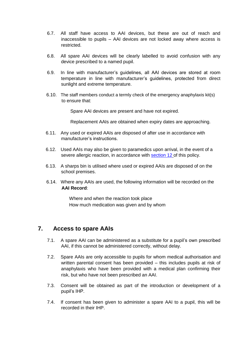- <span id="page-9-0"></span>6.7. All staff have access to AAI devices, but these are out of reach and inaccessible to pupils – AAI devices are not locked away where access is restricted.
- 6.8. All spare AAI devices will be clearly labelled to avoid confusion with any device prescribed to a named pupil.
- 6.9. In line with manufacturer's guidelines, all AAI devices are stored at room temperature in line with manufacturer's guidelines, protected from direct sunlight and extreme temperature.
- 6.10. The staff members conduct a termly check of the emergency anaphylaxis kit(s) to ensure that:

Spare AAI devices are present and have not expired.

Replacement AAIs are obtained when expiry dates are approaching.

- 6.11. Any used or expired AAIs are disposed of after use in accordance with manufacturer's instructions.
- 6.12. Used AAIs may also be given to paramedics upon arrival, in the event of a severe allergic reaction, in accordance with [section 12](#page-13-0) of this policy.
- 6.13. A sharps bin is utilised where used or expired AAIs are disposed of on the school premises.
- 6.14. Where any AAIs are used, the following information will be recorded on the **AAI Record**:

Where and when the reaction took place How much medication was given and by whom

## **7. Access to spare AAIs**

- 7.1. A spare AAI can be administered as a substitute for a pupil's own prescribed AAI, if this cannot be administered correctly, without delay.
- 7.2. Spare AAIs are only accessible to pupils for whom medical authorisation and written parental consent has been provided – this includes pupils at risk of anaphylaxis who have been provided with a medical plan confirming their risk, but who have not been prescribed an AAI.
- 7.3. Consent will be obtained as part of the introduction or development of a pupil's IHP.
- 7.4. If consent has been given to administer a spare AAI to a pupil, this will be recorded in their IHP.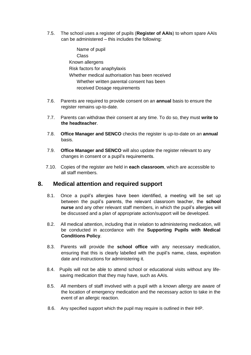<span id="page-10-0"></span>7.5. The school uses a register of pupils (**Register of AAIs**) to whom spare AAIs can be administered – this includes the following:

> Name of pupil Class Known allergens Risk factors for anaphylaxis Whether medical authorisation has been received Whether written parental consent has been received Dosage requirements

- 7.6. Parents are required to provide consent on an **annual** basis to ensure the register remains up-to-date.
- 7.7. Parents can withdraw their consent at any time. To do so, they must **write to the headteacher**.
- 7.8. **Office Manager and SENCO** checks the register is up-to-date on an **annual**  basis.
- 7.9. **Office Manager and SENCO** will also update the register relevant to any changes in consent or a pupil's requirements.
- 7.10. Copies of the register are held in **each classroom**, which are accessible to all staff members.

## **8. Medical attention and required support**

- 8.1. Once a pupil's allergies have been identified, a meeting will be set up between the pupil's parents, the relevant classroom teacher, the **school nurse** and any other relevant staff members, in which the pupil's allergies will be discussed and a plan of appropriate action/support will be developed.
- 8.2. All medical attention, including that in relation to administering medication, will be conducted in accordance with the **Supporting Pupils with Medical Conditions Policy**.
- 8.3. Parents will provide the **school office** with any necessary medication, ensuring that this is clearly labelled with the pupil's name, class, expiration date and instructions for administering it.
- 8.4. Pupils will not be able to attend school or educational visits without any lifesaving medication that they may have, such as AAIs.
- 8.5. All members of staff involved with a pupil with a known allergy are aware of the location of emergency medication and the necessary action to take in the event of an allergic reaction.
- 8.6. Any specified support which the pupil may require is outlined in their IHP.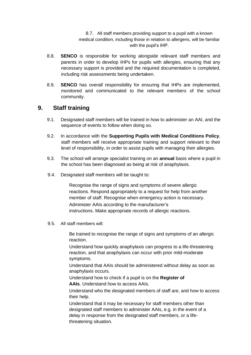8.7. All staff members providing support to a pupil with a known medical condition, including those in relation to allergens, will be familiar with the pupil's IHP.

- <span id="page-11-0"></span>8.8. **SENCO** is responsible for working alongside relevant staff members and parents in order to develop IHPs for pupils with allergies, ensuring that any necessary support is provided and the required documentation is completed, including risk assessments being undertaken.
- 8.9. **SENCO** has overall responsibility for ensuring that IHPs are implemented, monitored and communicated to the relevant members of the school community.

## **9. Staff training**

- 9.1. Designated staff members will be trained in how to administer an AAI, and the sequence of events to follow when doing so.
- 9.2. In accordance with the **Supporting Pupils with Medical Conditions Policy**, staff members will receive appropriate training and support relevant to their level of responsibility, in order to assist pupils with managing their allergies.
- 9.3. The school will arrange specialist training on an **annual** basis where a pupil in the school has been diagnosed as being at risk of anaphylaxis.
- 9.4. Designated staff members will be taught to:

Recognise the range of signs and symptoms of severe allergic reactions. Respond appropriately to a request for help from another member of staff. Recognise when emergency action is necessary. Administer AAIs according to the manufacturer's instructions. Make appropriate records of allergic reactions.

9.5. All staff members will:

Be trained to recognise the range of signs and symptoms of an allergic reaction.

Understand how quickly anaphylaxis can progress to a life-threatening reaction, and that anaphylaxis can occur with prior mild-moderate symptoms.

Understand that AAIs should be administered without delay as soon as anaphylaxis occurs.

Understand how to check if a pupil is on the **Register of**

**AAIs**. Understand how to access AAIs.

Understand who the designated members of staff are, and how to access their help.

Understand that it may be necessary for staff members other than designated staff members to administer AAIs, e.g. in the event of a delay in response from the designated staff members, or a lifethreatening situation.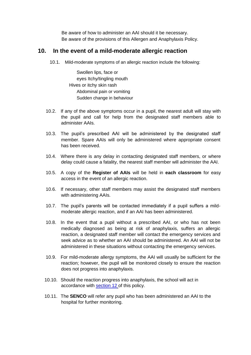Be aware of how to administer an AAI should it be necessary. Be aware of the provisions of this Allergen and Anaphylaxis Policy.

### <span id="page-12-0"></span>**10. In the event of a mild-moderate allergic reaction**

10.1. Mild-moderate symptoms of an allergic reaction include the following:

Swollen lips, face or eyes Itchy/tingling mouth Hives or itchy skin rash Abdominal pain or vomiting Sudden change in behaviour

- 10.2. If any of the above symptoms occur in a pupil, the nearest adult will stay with the pupil and call for help from the designated staff members able to administer AAIs.
- 10.3. The pupil's prescribed AAI will be administered by the designated staff member. Spare AAIs will only be administered where appropriate consent has been received.
- 10.4. Where there is any delay in contacting designated staff members, or where delay could cause a fatality, the nearest staff member will administer the AAI.
- 10.5. A copy of the **Register of AAIs** will be held in **each classroom** for easy access in the event of an allergic reaction.
- 10.6. If necessary, other staff members may assist the designated staff members with administering AAIs.
- 10.7. The pupil's parents will be contacted immediately if a pupil suffers a mildmoderate allergic reaction, and if an AAI has been administered.
- 10.8. In the event that a pupil without a prescribed AAI, or who has not been medically diagnosed as being at risk of anaphylaxis, suffers an allergic reaction, a designated staff member will contact the emergency services and seek advice as to whether an AAI should be administered. An AAI will not be administered in these situations without contacting the emergency services.
- 10.9. For mild-moderate allergy symptoms, the AAI will usually be sufficient for the reaction; however, the pupil will be monitored closely to ensure the reaction does not progress into anaphylaxis.
- 10.10. Should the reaction progress into anaphylaxis, the school will act in accordance with [section 12](#page-13-0) of this policy.
- 10.11. The **SENCO** will refer any pupil who has been administered an AAI to the hospital for further monitoring.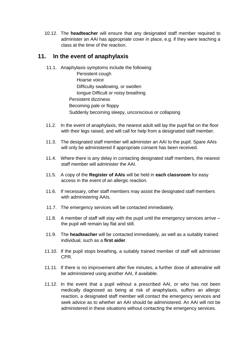<span id="page-13-0"></span>10.12. The **headteacher** will ensure that any designated staff member required to administer an AAI has appropriate cover in place, e.g. if they were teaching a class at the time of the reaction.

### **11. In the event of anaphylaxis**

11.1. Anaphylaxis symptoms include the following:

Persistent cough Hoarse voice Difficulty swallowing, or swollen tongue Difficult or noisy breathing Persistent dizziness Becoming pale or floppy Suddenly becoming sleepy, unconscious or collapsing

- 11.2. In the event of anaphylaxis, the nearest adult will lay the pupil flat on the floor with their legs raised, and will call for help from a designated staff member.
- 11.3. The designated staff member will administer an AAI to the pupil. Spare AAIs will only be administered if appropriate consent has been received.
- 11.4. Where there is any delay in contacting designated staff members, the nearest staff member will administer the AAI.
- 11.5. A copy of the **Register of AAIs** will be held in **each classroom** for easy access in the event of an allergic reaction.
- 11.6. If necessary, other staff members may assist the designated staff members with administering AAIs.
- 11.7. The emergency services will be contacted immediately.
- 11.8. A member of staff will stay with the pupil until the emergency services arrive the pupil will remain lay flat and still.
- 11.9. The **headteacher** will be contacted immediately, as well as a suitably trained individual, such as a **first aider**.
- 11.10. If the pupil stops breathing, a suitably trained member of staff will administer CPR.
- 11.11. If there is no improvement after five minutes, a further dose of adrenaline will be administered using another AAI, if available.
- 11.12. In the event that a pupil without a prescribed AAI, or who has not been medically diagnosed as being at risk of anaphylaxis, suffers an allergic reaction, a designated staff member will contact the emergency services and seek advice as to whether an AAI should be administered. An AAI will not be administered in these situations without contacting the emergency services.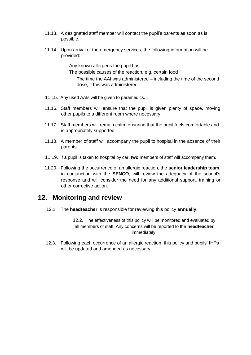- <span id="page-14-0"></span>11.13. A designated staff member will contact the pupil's parents as soon as is possible.
- 11.14. Upon arrival of the emergency services, the following information will be provided:

Any known allergens the pupil has The possible causes of the reaction, e.g. certain food The time the AAI was administered – including the time of the second dose, if this was administered

- 11.15. Any used AAIs will be given to paramedics.
- 11.16. Staff members will ensure that the pupil is given plenty of space, moving other pupils to a different room where necessary.
- 11.17. Staff members will remain calm, ensuring that the pupil feels comfortable and is appropriately supported.
- 11.18. A member of staff will accompany the pupil to hospital in the absence of their parents.
- 11.19. If a pupil is taken to hospital by car, **two** members of staff will accompany them.
- 11.20. Following the occurrence of an allergic reaction, the **senior leadership team**, in conjunction with the **SENCO**, will review the adequacy of the school's response and will consider the need for any additional support, training or other corrective action.

## **12. Monitoring and review**

12.1. The **headteacher** is responsible for reviewing this policy **annually**.

12.2. The effectiveness of this policy will be monitored and evaluated by all members of staff. Any concerns will be reported to the **headteacher** immediately.

12.3. Following each occurrence of an allergic reaction, this policy and pupils' IHPs will be updated and amended as necessary.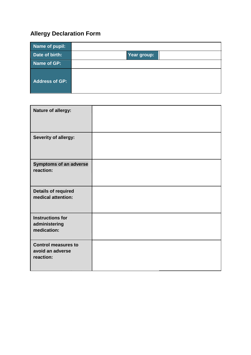## <span id="page-15-0"></span>**Allergy Declaration Form**

| Name of pupil:        |             |  |
|-----------------------|-------------|--|
| Date of birth:        | Year group: |  |
| Name of GP:           |             |  |
| <b>Address of GP:</b> |             |  |

| Nature of allergy:                                          |  |
|-------------------------------------------------------------|--|
| Severity of allergy:                                        |  |
| <b>Symptoms of an adverse</b><br>reaction:                  |  |
| <b>Details of required</b><br>medical attention:            |  |
| <b>Instructions for</b><br>administering<br>medication:     |  |
| <b>Control measures to</b><br>avoid an adverse<br>reaction: |  |